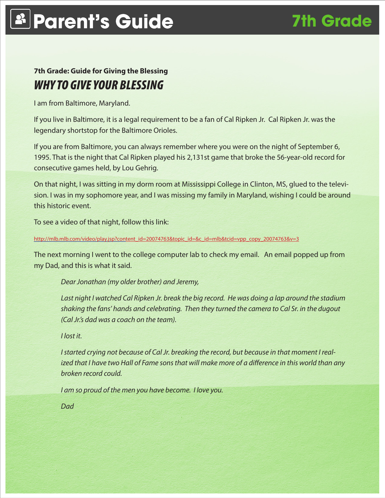## **7th Grade: Guide for Giving the Blessing** *WHY TO GIVE YOUR BLESSING*

I am from Baltimore, Maryland.

If you live in Baltimore, it is a legal requirement to be a fan of Cal Ripken Jr. Cal Ripken Jr. was the legendary shortstop for the Baltimore Orioles.

If you are from Baltimore, you can always remember where you were on the night of September 6, 1995. That is the night that Cal Ripken played his 2,131st game that broke the 56-year-old record for consecutive games held, by Lou Gehrig.

On that night, I was sitting in my dorm room at Mississippi College in Clinton, MS, glued to the television. I was in my sophomore year, and I was missing my family in Maryland, wishing I could be around this historic event.

To see a video of that night, follow this link:

#### http://mlb.mlb.com/video/play.jsp?content\_id=20074763&topic\_id=&c\_id=mlb&tcid=vpp\_copy\_20074763&v=3

The next morning I went to the college computer lab to check my email. An email popped up from my Dad, and this is what it said.

*Dear Jonathan (my older brother) and Jeremy,*

*Last night I watched Cal Ripken Jr. break the big record. He was doing a lap around the stadium shaking the fans' hands and celebrating. Then they turned the camera to Cal Sr. in the dugout (Cal Jr.'s dad was a coach on the team).*

*I lost it.*

*I started crying not because of Cal Jr. breaking the record, but because in that moment I realized that I have two Hall of Fame sons that will make more of a difference in this world than any broken record could.*

*I am so proud of the men you have become. I love you.*

*Dad*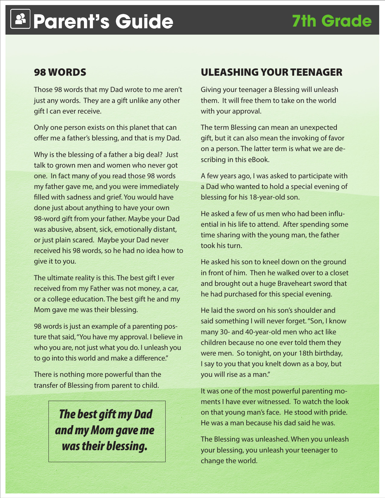#### 98 WORDS

Those 98 words that my Dad wrote to me aren't just any words. They are a gift unlike any other gift I can ever receive.

Only one person exists on this planet that can offer me a father's blessing, and that is my Dad.

Why is the blessing of a father a big deal? Just talk to grown men and women who never got one. In fact many of you read those 98 words my father gave me, and you were immediately filled with sadness and grief. You would have done just about anything to have your own 98-word gift from your father. Maybe your Dad was abusive, absent, sick, emotionally distant, or just plain scared. Maybe your Dad never received his 98 words, so he had no idea how to give it to you.

The ultimate reality is this. The best gift I ever received from my Father was not money, a car, or a college education. The best gift he and my Mom gave me was their blessing.

98 words is just an example of a parenting posture that said, "You have my approval. I believe in who you are, not just what you do. I unleash you to go into this world and make a difference."

There is nothing more powerful than the transfer of Blessing from parent to child.

## *The best gift my Dad and my Mom gave me was their blessing.*

### ULEASHING YOUR TEENAGER

Giving your teenager a Blessing will unleash them. It will free them to take on the world with your approval.

The term Blessing can mean an unexpected gift, but it can also mean the invoking of favor on a person. The latter term is what we are describing in this eBook.

A few years ago, I was asked to participate with a Dad who wanted to hold a special evening of blessing for his 18-year-old son.

He asked a few of us men who had been influential in his life to attend. After spending some time sharing with the young man, the father took his turn.

He asked his son to kneel down on the ground in front of him. Then he walked over to a closet and brought out a huge Braveheart sword that he had purchased for this special evening.

He laid the sword on his son's shoulder and said something I will never forget. "Son, I know many 30- and 40-year-old men who act like children because no one ever told them they were men. So tonight, on your 18th birthday, I say to you that you knelt down as a boy, but you will rise as a man."

It was one of the most powerful parenting moments I have ever witnessed. To watch the look on that young man's face. He stood with pride. He was a man because his dad said he was.

The Blessing was unleashed. When you unleash your blessing, you unleash your teenager to change the world.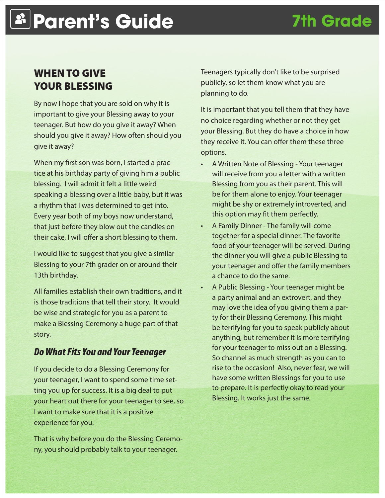### WHEN TO GIVE YOUR BLESSING

By now I hope that you are sold on why it is important to give your Blessing away to your teenager. But how do you give it away? When should you give it away? How often should you give it away?

When my first son was born, I started a practice at his birthday party of giving him a public blessing. I will admit it felt a little weird speaking a blessing over a little baby, but it was a rhythm that I was determined to get into. Every year both of my boys now understand, that just before they blow out the candles on their cake, I will offer a short blessing to them.

I would like to suggest that you give a similar Blessing to your 7th grader on or around their 13th birthday.

All families establish their own traditions, and it is those traditions that tell their story. It would be wise and strategic for you as a parent to make a Blessing Ceremony a huge part of that story.

#### *Do What Fits You and Your Teenager*

If you decide to do a Blessing Ceremony for your teenager, I want to spend some time setting you up for success. It is a big deal to put your heart out there for your teenager to see, so I want to make sure that it is a positive experience for you.

That is why before you do the Blessing Ceremony, you should probably talk to your teenager.

Teenagers typically don't like to be surprised publicly, so let them know what you are planning to do.

It is important that you tell them that they have no choice regarding whether or not they get your Blessing. But they do have a choice in how they receive it. You can offer them these three options.

- A Written Note of Blessing Your teenager will receive from you a letter with a written Blessing from you as their parent. This will be for them alone to enjoy. Your teenager might be shy or extremely introverted, and this option may fit them perfectly.
- A Family Dinner The family will come together for a special dinner. The favorite food of your teenager will be served. During the dinner you will give a public Blessing to your teenager and offer the family members a chance to do the same.
- A Public Blessing Your teenager might be a party animal and an extrovert, and they may love the idea of you giving them a party for their Blessing Ceremony. This might be terrifying for you to speak publicly about anything, but remember it is more terrifying for your teenager to miss out on a Blessing. So channel as much strength as you can to rise to the occasion! Also, never fear, we will have some written Blessings for you to use to prepare. It is perfectly okay to read your Blessing. It works just the same.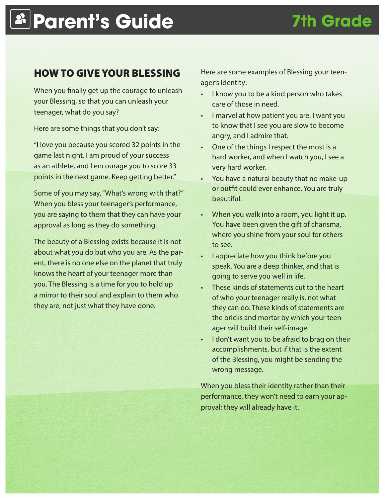### HOW TO GIVE YOUR BLESSING

When you finally get up the courage to unleash your Blessing, so that you can unleash your teenager, what do you say?

Here are some things that you don't say:

"I love you because you scored 32 points in the game last night. I am proud of your success as an athlete, and I encourage you to score 33 points in the next game. Keep getting better."

Some of you may say, "What's wrong with that?" When you bless your teenager's performance, you are saying to them that they can have your approval as long as they do something.

The beauty of a Blessing exists because it is not about what you do but who you are. As the parent, there is no one else on the planet that truly knows the heart of your teenager more than you. The Blessing is a time for you to hold up a mirror to their soul and explain to them who they are, not just what they have done.

Here are some examples of Blessing your teenager's identity:

- I know you to be a kind person who takes care of those in need.
- • I marvel at how patient you are. I want you to know that I see you are slow to become angry, and I admire that.
- One of the things I respect the most is a hard worker, and when I watch you, I see a very hard worker.
- You have a natural beauty that no make-up or outfit could ever enhance. You are truly beautiful.
- When you walk into a room, you light it up. You have been given the gift of charisma, where you shine from your soul for others to see.
- • I appreciate how you think before you speak. You are a deep thinker, and that is going to serve you well in life.
- These kinds of statements cut to the heart of who your teenager really is, not what they can do. These kinds of statements are the bricks and mortar by which your teenager will build their self-image.
- I don't want you to be afraid to brag on their accomplishments, but if that is the extent of the Blessing, you might be sending the wrong message.

When you bless their identity rather than their performance, they won't need to earn your approval; they will already have it.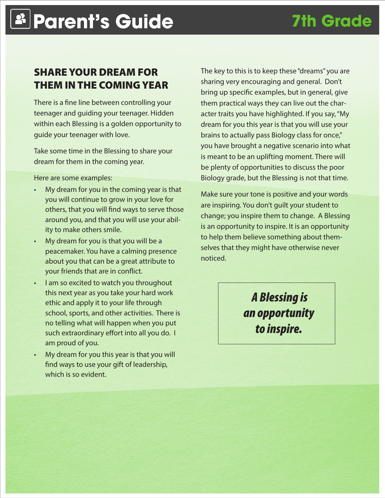### SHARE YOUR DREAM FOR THEM IN THE COMING YEAR

There is a fine line between controlling your teenager and guiding your teenager. Hidden within each Blessing is a golden opportunity to guide your teenager with love.

Take some time in the Blessing to share your dream for them in the coming year.

Here are some examples:

- My dream for you in the coming year is that you will continue to grow in your love for others, that you will find ways to serve those around you, and that you will use your ability to make others smile.
- My dream for you is that you will be a peacemaker. You have a calming presence about you that can be a great attribute to your friends that are in conflict.
- I am so excited to watch you throughout this next year as you take your hard work ethic and apply it to your life through school, sports, and other activities. There is no telling what will happen when you put such extraordinary effort into all you do. I am proud of you.
- My dream for you this year is that you will find ways to use your gift of leadership, which is so evident.

The key to this is to keep these "dreams" you are sharing very encouraging and general. Don't bring up specific examples, but in general, give them practical ways they can live out the character traits you have highlighted. If you say, "My dream for you this year is that you will use your brains to actually pass Biology class for once," you have brought a negative scenario into what is meant to be an uplifting moment. There will be plenty of opportunities to discuss the poor Biology grade, but the Blessing is not that time.

Make sure your tone is positive and your words are inspiring. You don't guilt your student to change; you inspire them to change. A Blessing is an opportunity to inspire. It is an opportunity to help them believe something about themselves that they might have otherwise never noticed.

> *A Blessing is an opportunity to inspire.*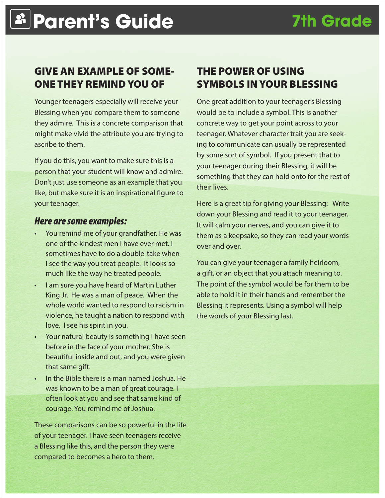### GIVE AN EXAMPLE OF SOME-ONE THEY REMIND YOU OF

Younger teenagers especially will receive your Blessing when you compare them to someone they admire. This is a concrete comparison that might make vivid the attribute you are trying to ascribe to them.

If you do this, you want to make sure this is a person that your student will know and admire. Don't just use someone as an example that you like, but make sure it is an inspirational figure to your teenager.

#### *Here are some examples:*

- You remind me of your grandfather. He was one of the kindest men I have ever met. I sometimes have to do a double-take when I see the way you treat people. It looks so much like the way he treated people.
- I am sure you have heard of Martin Luther King Jr. He was a man of peace. When the whole world wanted to respond to racism in violence, he taught a nation to respond with love. I see his spirit in you.
- • Your natural beauty is something I have seen before in the face of your mother. She is beautiful inside and out, and you were given that same gift.
- In the Bible there is a man named Joshua. He was known to be a man of great courage. I often look at you and see that same kind of courage. You remind me of Joshua.

These comparisons can be so powerful in the life of your teenager. I have seen teenagers receive a Blessing like this, and the person they were compared to becomes a hero to them.

### THE POWER OF USING SYMBOLS IN YOUR BLESSING

One great addition to your teenager's Blessing would be to include a symbol. This is another concrete way to get your point across to your teenager. Whatever character trait you are seeking to communicate can usually be represented by some sort of symbol. If you present that to your teenager during their Blessing, it will be something that they can hold onto for the rest of their lives.

Here is a great tip for giving your Blessing: Write down your Blessing and read it to your teenager. It will calm your nerves, and you can give it to them as a keepsake, so they can read your words over and over.

You can give your teenager a family heirloom, a gift, or an object that you attach meaning to. The point of the symbol would be for them to be able to hold it in their hands and remember the Blessing it represents. Using a symbol will help the words of your Blessing last.